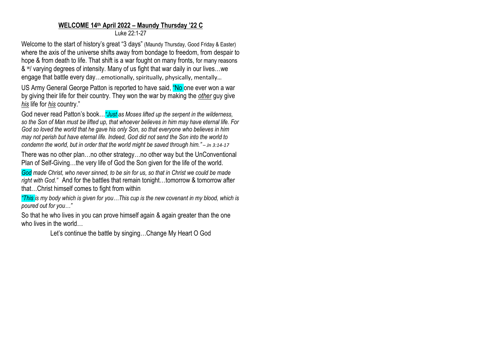## **WELCOME 14 th April 2022 – Maundy Thursday '22 C** Luke 22:1-27

Welcome to the start of history's great "3 days" (Maundy Thursday, Good Friday & Easter) where the axis of the universe shifts away from bondage to freedom, from despair to hope & from death to life. That shift is a war fought on many fronts, for many reasons & w/ varying degrees of intensity. Many of us fight that war daily in our lives…we engage that battle every day…emotionally, spiritually, physically, mentally...

US Army General George Patton is reported to have said, "No one ever won a war by giving their life for their country. They won the war by making the *other* guy give *his* life for *his* country."

God never read Patton's book…*"Just as Moses lifted up the serpent in the wilderness, so the Son of Man must be lifted up, that whoever believes in him may have eternal life. For God so loved the world that he gave his only Son, so that everyone who believes in him may not perish but have eternal life. Indeed, God did not send the Son into the world to condemn the world, but in order that the world might be saved through him." – Jn 3:14-17*

There was no other plan…no other strategy…no other way but the UnConventional Plan of Self-Giving…the very life of God the Son given for the life of the world.

*God made Christ, who never sinned, to be sin for us, so that in Christ we could be made right with God."* And for the battles that remain tonight…tomorrow & tomorrow after that…Christ himself comes to fight from within

*"This is my body which is given for you…This cup is the new covenant in my blood, which is poured out for you…"*

So that he who lives in you can prove himself again & again greater than the one who lives in the world…

Let's continue the battle by singing…Change My Heart O God